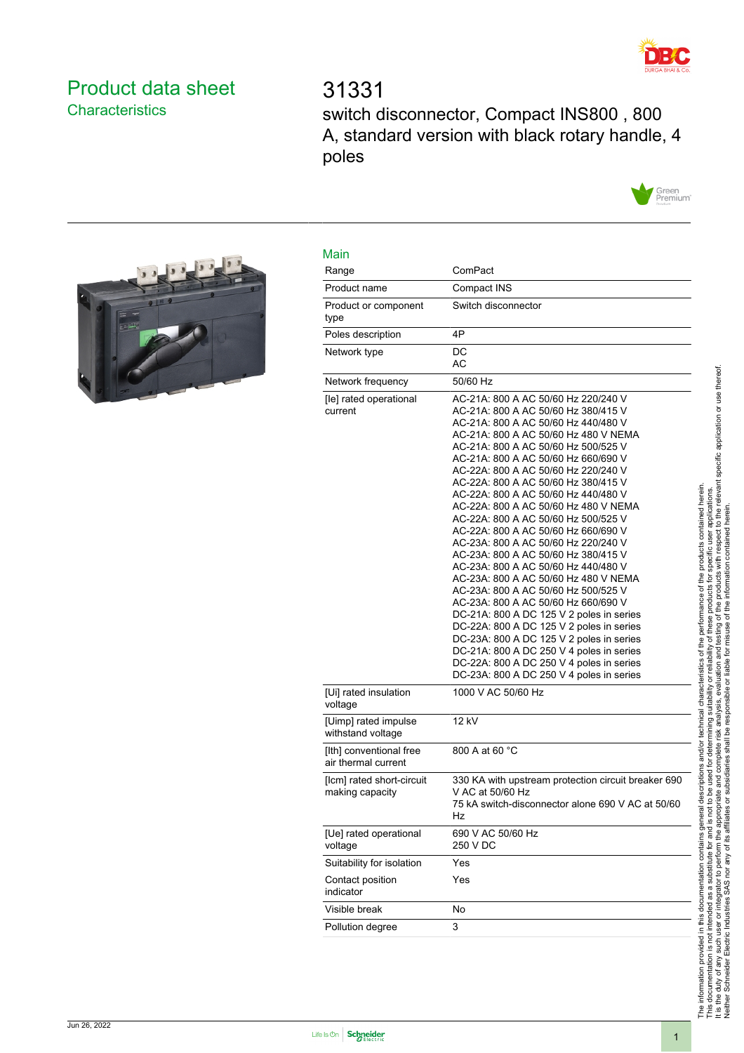

# <span id="page-0-0"></span>Product data sheet **Characteristics**

# 31331 switch disconnector, Compact INS800 , 800 A, standard version with black rotary handle, 4 poles





| Range                                          | ComPact                                                                                                                                                                                                                                                                                                                                                                                                                                                                                                                                                                                                                                                                                                                                                                                                                                                                                                                                                                                               |
|------------------------------------------------|-------------------------------------------------------------------------------------------------------------------------------------------------------------------------------------------------------------------------------------------------------------------------------------------------------------------------------------------------------------------------------------------------------------------------------------------------------------------------------------------------------------------------------------------------------------------------------------------------------------------------------------------------------------------------------------------------------------------------------------------------------------------------------------------------------------------------------------------------------------------------------------------------------------------------------------------------------------------------------------------------------|
| Product name                                   | Compact INS                                                                                                                                                                                                                                                                                                                                                                                                                                                                                                                                                                                                                                                                                                                                                                                                                                                                                                                                                                                           |
| Product or component<br>type                   | Switch disconnector                                                                                                                                                                                                                                                                                                                                                                                                                                                                                                                                                                                                                                                                                                                                                                                                                                                                                                                                                                                   |
| Poles description                              | 4P                                                                                                                                                                                                                                                                                                                                                                                                                                                                                                                                                                                                                                                                                                                                                                                                                                                                                                                                                                                                    |
| Network type                                   | DC<br>АC                                                                                                                                                                                                                                                                                                                                                                                                                                                                                                                                                                                                                                                                                                                                                                                                                                                                                                                                                                                              |
| Network frequency                              | 50/60 Hz                                                                                                                                                                                                                                                                                                                                                                                                                                                                                                                                                                                                                                                                                                                                                                                                                                                                                                                                                                                              |
| [le] rated operational<br>current              | AC-21A: 800 A AC 50/60 Hz 220/240 V<br>AC-21A: 800 A AC 50/60 Hz 380/415 V<br>AC-21A: 800 A AC 50/60 Hz 440/480 V<br>AC-21A: 800 A AC 50/60 Hz 480 V NEMA<br>AC-21A: 800 A AC 50/60 Hz 500/525 V<br>AC-21A: 800 A AC 50/60 Hz 660/690 V<br>AC-22A: 800 A AC 50/60 Hz 220/240 V<br>AC-22A: 800 A AC 50/60 Hz 380/415 V<br>AC-22A: 800 A AC 50/60 Hz 440/480 V<br>AC-22A: 800 A AC 50/60 Hz 480 V NEMA<br>AC-22A: 800 A AC 50/60 Hz 500/525 V<br>AC-22A: 800 A AC 50/60 Hz 660/690 V<br>AC-23A: 800 A AC 50/60 Hz 220/240 V<br>AC-23A: 800 A AC 50/60 Hz 380/415 V<br>AC-23A: 800 A AC 50/60 Hz 440/480 V<br>AC-23A: 800 A AC 50/60 Hz 480 V NEMA<br>AC-23A: 800 A AC 50/60 Hz 500/525 V<br>AC-23A: 800 A AC 50/60 Hz 660/690 V<br>DC-21A: 800 A DC 125 V 2 poles in series<br>DC-22A: 800 A DC 125 V 2 poles in series<br>DC-23A: 800 A DC 125 V 2 poles in series<br>DC-21A: 800 A DC 250 V 4 poles in series<br>DC-22A: 800 A DC 250 V 4 poles in series<br>DC-23A: 800 A DC 250 V 4 poles in series |
| [Ui] rated insulation<br>voltage               | 1000 V AC 50/60 Hz                                                                                                                                                                                                                                                                                                                                                                                                                                                                                                                                                                                                                                                                                                                                                                                                                                                                                                                                                                                    |
| [Uimp] rated impulse<br>withstand voltage      | 12 kV                                                                                                                                                                                                                                                                                                                                                                                                                                                                                                                                                                                                                                                                                                                                                                                                                                                                                                                                                                                                 |
| [Ith] conventional free<br>air thermal current | 800 A at 60 °C                                                                                                                                                                                                                                                                                                                                                                                                                                                                                                                                                                                                                                                                                                                                                                                                                                                                                                                                                                                        |
| [lcm] rated short-circuit<br>making capacity   | 330 KA with upstream protection circuit breaker 690<br>V AC at 50/60 Hz<br>75 kA switch-disconnector alone 690 V AC at 50/60<br>Hz                                                                                                                                                                                                                                                                                                                                                                                                                                                                                                                                                                                                                                                                                                                                                                                                                                                                    |
| [Ue] rated operational<br>voltage              | 690 V AC 50/60 Hz<br>250 V DC                                                                                                                                                                                                                                                                                                                                                                                                                                                                                                                                                                                                                                                                                                                                                                                                                                                                                                                                                                         |
| Suitability for isolation                      | Yes                                                                                                                                                                                                                                                                                                                                                                                                                                                                                                                                                                                                                                                                                                                                                                                                                                                                                                                                                                                                   |
| Contact position<br>indicator                  | Yes                                                                                                                                                                                                                                                                                                                                                                                                                                                                                                                                                                                                                                                                                                                                                                                                                                                                                                                                                                                                   |
| Visible break                                  | No                                                                                                                                                                                                                                                                                                                                                                                                                                                                                                                                                                                                                                                                                                                                                                                                                                                                                                                                                                                                    |
| Pollution degree                               | 3                                                                                                                                                                                                                                                                                                                                                                                                                                                                                                                                                                                                                                                                                                                                                                                                                                                                                                                                                                                                     |

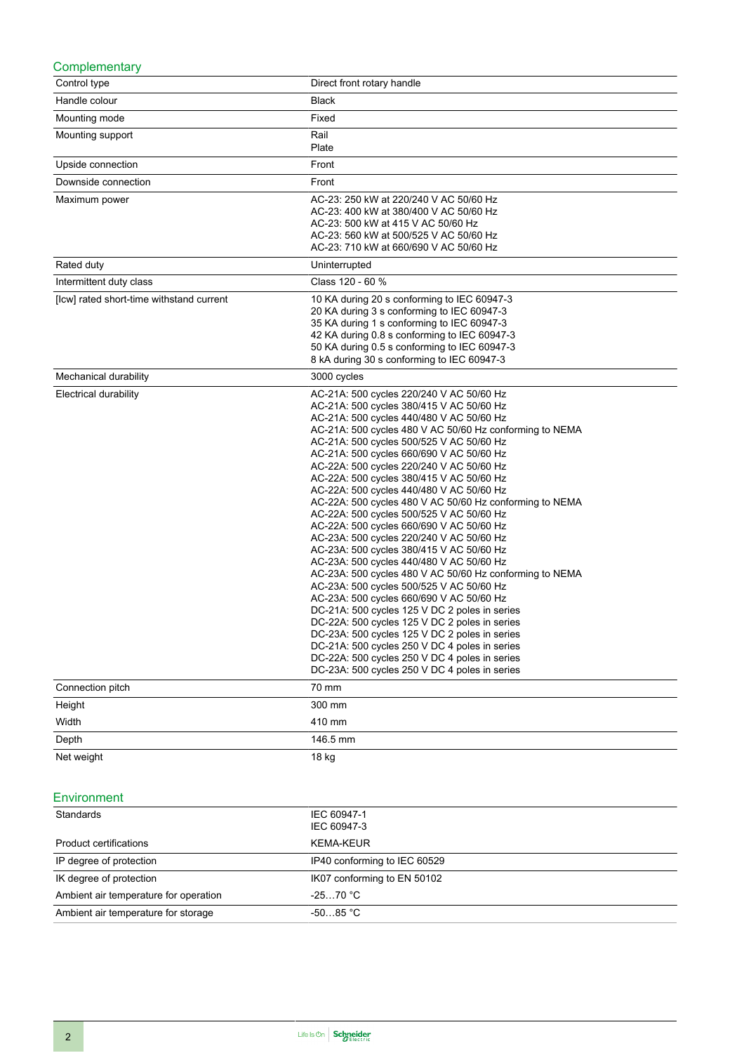#### **Complementary**

| Control type                             | Direct front rotary handle                                                                                                                                                                                                                                                                                                                                                                                                                                                                                                                                                                                                                                                                                                                                                                                                                                                                                                                                                                                                                                                                                                                                              |
|------------------------------------------|-------------------------------------------------------------------------------------------------------------------------------------------------------------------------------------------------------------------------------------------------------------------------------------------------------------------------------------------------------------------------------------------------------------------------------------------------------------------------------------------------------------------------------------------------------------------------------------------------------------------------------------------------------------------------------------------------------------------------------------------------------------------------------------------------------------------------------------------------------------------------------------------------------------------------------------------------------------------------------------------------------------------------------------------------------------------------------------------------------------------------------------------------------------------------|
| Handle colour                            | <b>Black</b>                                                                                                                                                                                                                                                                                                                                                                                                                                                                                                                                                                                                                                                                                                                                                                                                                                                                                                                                                                                                                                                                                                                                                            |
| Mounting mode                            | Fixed                                                                                                                                                                                                                                                                                                                                                                                                                                                                                                                                                                                                                                                                                                                                                                                                                                                                                                                                                                                                                                                                                                                                                                   |
| Mounting support                         | Rail<br>Plate                                                                                                                                                                                                                                                                                                                                                                                                                                                                                                                                                                                                                                                                                                                                                                                                                                                                                                                                                                                                                                                                                                                                                           |
|                                          |                                                                                                                                                                                                                                                                                                                                                                                                                                                                                                                                                                                                                                                                                                                                                                                                                                                                                                                                                                                                                                                                                                                                                                         |
| Upside connection                        | Front                                                                                                                                                                                                                                                                                                                                                                                                                                                                                                                                                                                                                                                                                                                                                                                                                                                                                                                                                                                                                                                                                                                                                                   |
| Downside connection                      | Front                                                                                                                                                                                                                                                                                                                                                                                                                                                                                                                                                                                                                                                                                                                                                                                                                                                                                                                                                                                                                                                                                                                                                                   |
| Maximum power                            | AC-23: 250 kW at 220/240 V AC 50/60 Hz<br>AC-23: 400 kW at 380/400 V AC 50/60 Hz<br>AC-23: 500 kW at 415 V AC 50/60 Hz<br>AC-23: 560 kW at 500/525 V AC 50/60 Hz<br>AC-23: 710 kW at 660/690 V AC 50/60 Hz                                                                                                                                                                                                                                                                                                                                                                                                                                                                                                                                                                                                                                                                                                                                                                                                                                                                                                                                                              |
| Rated duty                               | Uninterrupted                                                                                                                                                                                                                                                                                                                                                                                                                                                                                                                                                                                                                                                                                                                                                                                                                                                                                                                                                                                                                                                                                                                                                           |
| Intermittent duty class                  | Class 120 - 60 %                                                                                                                                                                                                                                                                                                                                                                                                                                                                                                                                                                                                                                                                                                                                                                                                                                                                                                                                                                                                                                                                                                                                                        |
| [Icw] rated short-time withstand current | 10 KA during 20 s conforming to IEC 60947-3<br>20 KA during 3 s conforming to IEC 60947-3<br>35 KA during 1 s conforming to IEC 60947-3<br>42 KA during 0.8 s conforming to IEC 60947-3<br>50 KA during 0.5 s conforming to IEC 60947-3<br>8 kA during 30 s conforming to IEC 60947-3                                                                                                                                                                                                                                                                                                                                                                                                                                                                                                                                                                                                                                                                                                                                                                                                                                                                                   |
| Mechanical durability                    | 3000 cycles                                                                                                                                                                                                                                                                                                                                                                                                                                                                                                                                                                                                                                                                                                                                                                                                                                                                                                                                                                                                                                                                                                                                                             |
| Electrical durability                    | AC-21A: 500 cycles 220/240 V AC 50/60 Hz<br>AC-21A: 500 cycles 380/415 V AC 50/60 Hz<br>AC-21A: 500 cycles 440/480 V AC 50/60 Hz<br>AC-21A: 500 cycles 480 V AC 50/60 Hz conforming to NEMA<br>AC-21A: 500 cycles 500/525 V AC 50/60 Hz<br>AC-21A: 500 cycles 660/690 V AC 50/60 Hz<br>AC-22A: 500 cycles 220/240 V AC 50/60 Hz<br>AC-22A: 500 cycles 380/415 V AC 50/60 Hz<br>AC-22A: 500 cycles 440/480 V AC 50/60 Hz<br>AC-22A: 500 cycles 480 V AC 50/60 Hz conforming to NEMA<br>AC-22A: 500 cycles 500/525 V AC 50/60 Hz<br>AC-22A: 500 cycles 660/690 V AC 50/60 Hz<br>AC-23A: 500 cycles 220/240 V AC 50/60 Hz<br>AC-23A: 500 cycles 380/415 V AC 50/60 Hz<br>AC-23A: 500 cycles 440/480 V AC 50/60 Hz<br>AC-23A: 500 cycles 480 V AC 50/60 Hz conforming to NEMA<br>AC-23A: 500 cycles 500/525 V AC 50/60 Hz<br>AC-23A: 500 cycles 660/690 V AC 50/60 Hz<br>DC-21A: 500 cycles 125 V DC 2 poles in series<br>DC-22A: 500 cycles 125 V DC 2 poles in series<br>DC-23A: 500 cycles 125 V DC 2 poles in series<br>DC-21A: 500 cycles 250 V DC 4 poles in series<br>DC-22A: 500 cycles 250 V DC 4 poles in series<br>DC-23A: 500 cycles 250 V DC 4 poles in series |
| Connection pitch                         | 70 mm                                                                                                                                                                                                                                                                                                                                                                                                                                                                                                                                                                                                                                                                                                                                                                                                                                                                                                                                                                                                                                                                                                                                                                   |
| Height                                   | 300 mm                                                                                                                                                                                                                                                                                                                                                                                                                                                                                                                                                                                                                                                                                                                                                                                                                                                                                                                                                                                                                                                                                                                                                                  |
| Width                                    | 410 mm                                                                                                                                                                                                                                                                                                                                                                                                                                                                                                                                                                                                                                                                                                                                                                                                                                                                                                                                                                                                                                                                                                                                                                  |
| Depth                                    | 146.5 mm                                                                                                                                                                                                                                                                                                                                                                                                                                                                                                                                                                                                                                                                                                                                                                                                                                                                                                                                                                                                                                                                                                                                                                |
| Net weight                               | 18 kg                                                                                                                                                                                                                                                                                                                                                                                                                                                                                                                                                                                                                                                                                                                                                                                                                                                                                                                                                                                                                                                                                                                                                                   |

#### Environment

| Standards                             | IEC 60947-1                  |
|---------------------------------------|------------------------------|
|                                       | IEC 60947-3                  |
| Product certifications                | KEMA-KEUR                    |
| IP degree of protection               | IP40 conforming to IEC 60529 |
| IK degree of protection               | IK07 conforming to EN 50102  |
| Ambient air temperature for operation | $-2570 °C$                   |
| Ambient air temperature for storage   | $-5085 °C$                   |